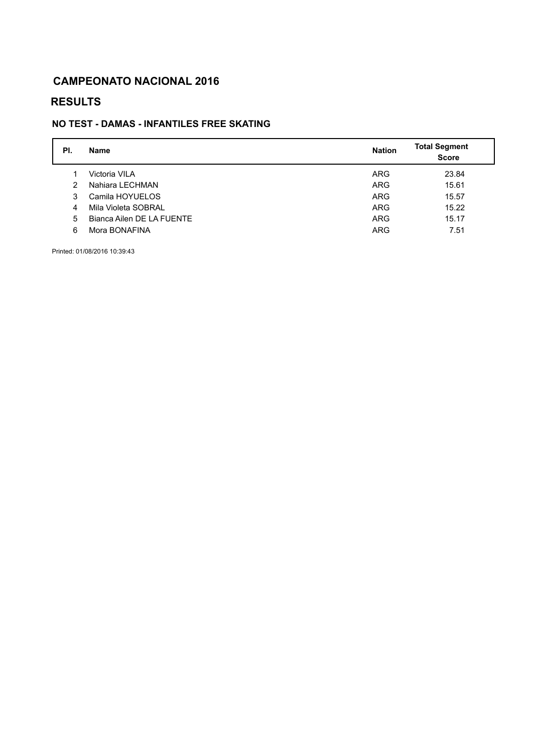## **RESULTS**

#### **NO TEST - DAMAS - INFANTILES FREE SKATING**

| <b>Name</b>               | <b>Nation</b> | <b>Total Segment</b><br><b>Score</b> |
|---------------------------|---------------|--------------------------------------|
| Victoria VILA             | <b>ARG</b>    | 23.84                                |
| Nahiara LECHMAN           | <b>ARG</b>    | 15.61                                |
| Camila HOYUELOS           | <b>ARG</b>    | 15.57                                |
| Mila Violeta SOBRAL       | <b>ARG</b>    | 15.22                                |
| Bianca Ailen DE LA FUENTE | <b>ARG</b>    | 15.17                                |
| Mora BONAFINA             | <b>ARG</b>    | 7.51                                 |
|                           |               |                                      |

Printed: 01/08/2016 10:39:43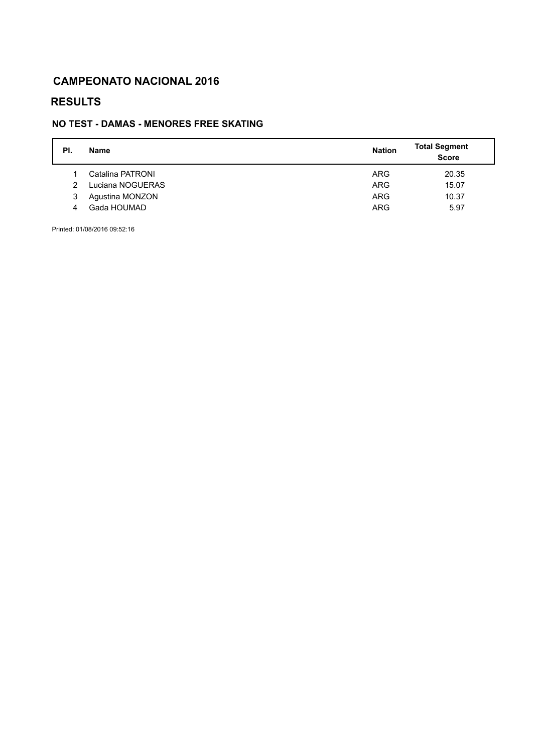## **RESULTS**

#### **NO TEST - DAMAS - MENORES FREE SKATING**

| PI. | <b>Name</b>      | <b>Nation</b> | <b>Total Segment</b><br><b>Score</b> |
|-----|------------------|---------------|--------------------------------------|
|     | Catalina PATRONI | <b>ARG</b>    | 20.35                                |
| 2   | Luciana NOGUERAS | <b>ARG</b>    | 15.07                                |
| 3   | Agustina MONZON  | <b>ARG</b>    | 10.37                                |
| 4   | Gada HOUMAD      | <b>ARG</b>    | 5.97                                 |

Printed: 01/08/2016 09:52:16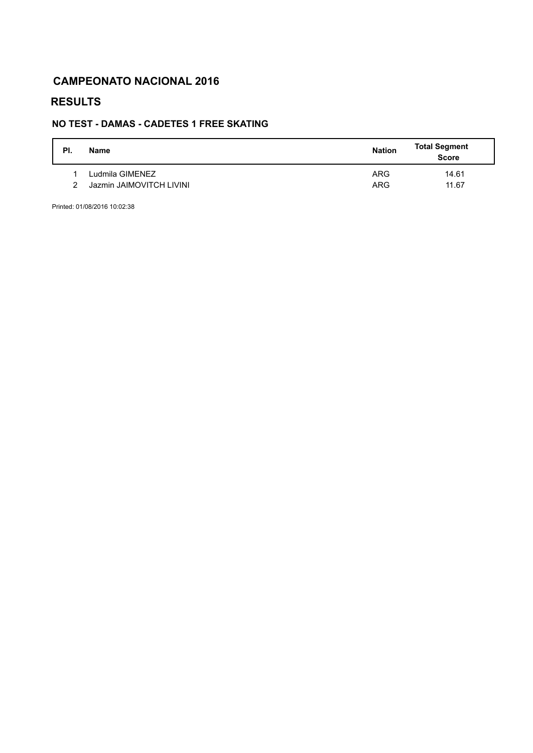### **RESULTS**

#### **NO TEST - DAMAS - CADETES 1 FREE SKATING**

| PI. | Name                     | <b>Nation</b> | <b>Total Segment</b><br><b>Score</b> |
|-----|--------------------------|---------------|--------------------------------------|
|     | Ludmila GIMENEZ          | <b>ARG</b>    | 14.61                                |
|     | Jazmin JAIMOVITCH LIVINI | ARG           | 11.67                                |

Printed: 01/08/2016 10:02:38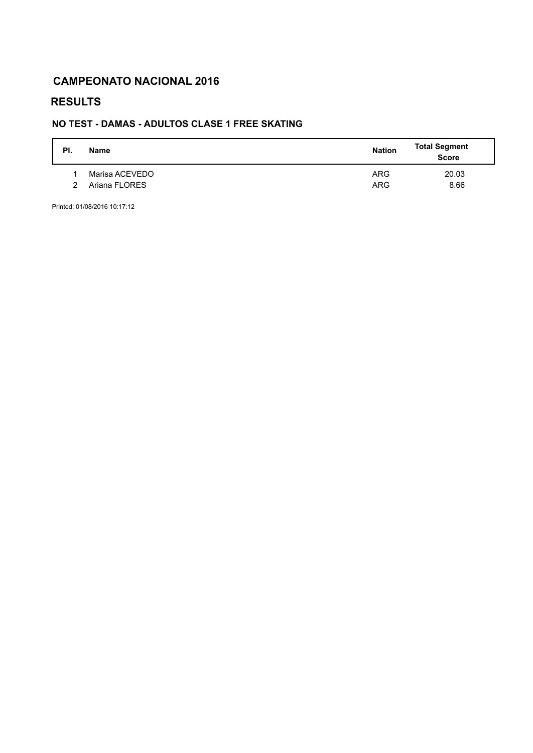### **RESULTS**

#### **NO TEST - DAMAS - ADULTOS CLASE 1 FREE SKATING**

| PI. | <b>Name</b>    | <b>Nation</b> | <b>Total Segment</b><br><b>Score</b> |
|-----|----------------|---------------|--------------------------------------|
|     | Marisa ACEVEDO | <b>ARG</b>    | 20.03                                |
| 2   | Ariana FLORES  | <b>ARG</b>    | 8.66                                 |

Printed: 01/08/2016 10:17:12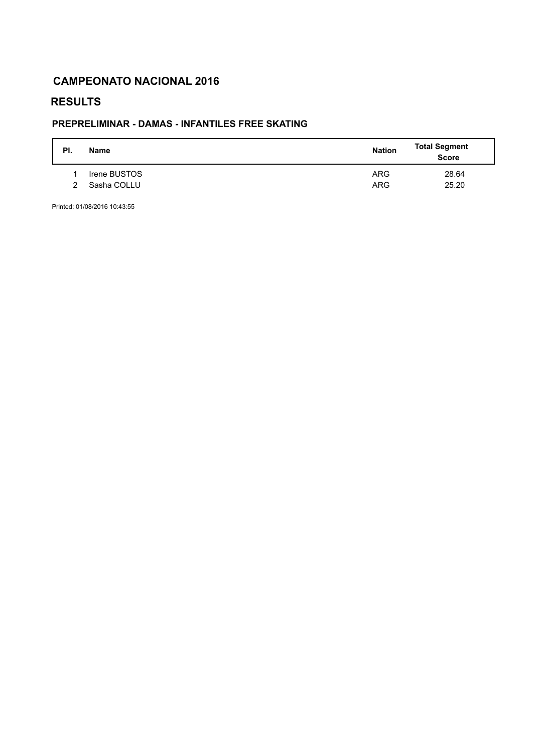### **RESULTS**

#### **PREPRELIMINAR - DAMAS - INFANTILES FREE SKATING**

| PI. | <b>Name</b>  | <b>Nation</b> | <b>Total Segment</b><br><b>Score</b> |
|-----|--------------|---------------|--------------------------------------|
|     | Irene BUSTOS | <b>ARG</b>    | 28.64                                |
| 2   | Sasha COLLU  | <b>ARG</b>    | 25.20                                |

Printed: 01/08/2016 10:43:55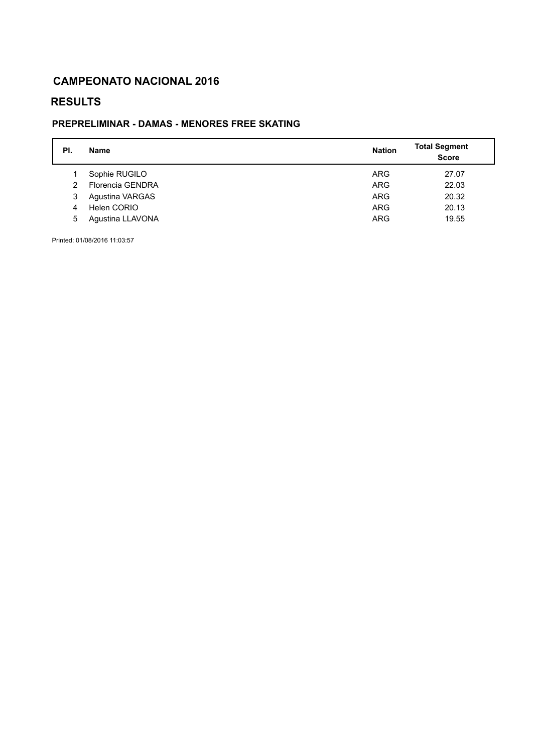## **RESULTS**

#### **PREPRELIMINAR - DAMAS - MENORES FREE SKATING**

| PI. | <b>Name</b>      | <b>Nation</b> | <b>Total Segment</b><br><b>Score</b> |
|-----|------------------|---------------|--------------------------------------|
|     | Sophie RUGILO    | <b>ARG</b>    | 27.07                                |
| 2   | Florencia GENDRA | <b>ARG</b>    | 22.03                                |
| 3   | Agustina VARGAS  | <b>ARG</b>    | 20.32                                |
| 4   | Helen CORIO      | <b>ARG</b>    | 20.13                                |
| 5   | Agustina LLAVONA | <b>ARG</b>    | 19.55                                |

Printed: 01/08/2016 11:03:57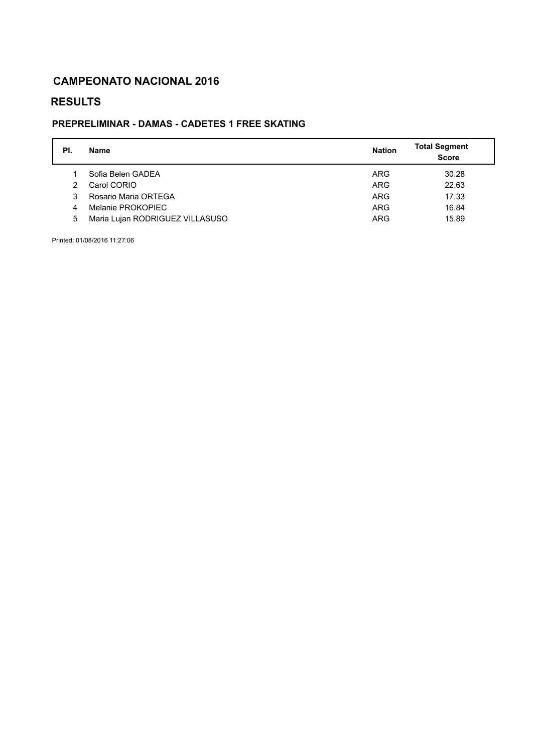### **RESULTS**

#### **PREPRELIMINAR - DAMAS - CADETES 1 FREE SKATING**

| PI. | Name                            | <b>Nation</b> | <b>Total Segment</b><br><b>Score</b> |
|-----|---------------------------------|---------------|--------------------------------------|
|     | Sofia Belen GADEA               | <b>ARG</b>    | 30.28                                |
| 2   | Carol CORIO                     | ARG           | 22.63                                |
| 3   | Rosario Maria ORTEGA            | <b>ARG</b>    | 17.33                                |
| 4   | Melanie PROKOPIEC               | <b>ARG</b>    | 16.84                                |
| 5   | Maria Lujan RODRIGUEZ VILLASUSO | <b>ARG</b>    | 15.89                                |

Printed: 01/08/2016 11:27:06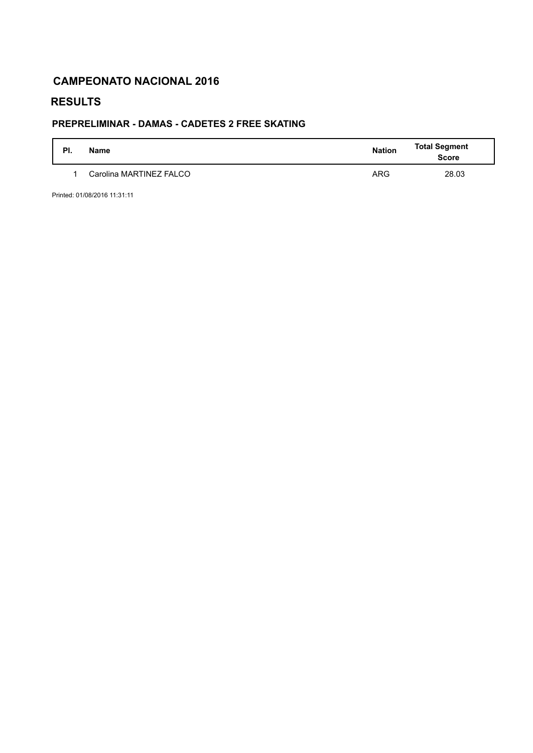### **RESULTS**

#### **PREPRELIMINAR - DAMAS - CADETES 2 FREE SKATING**

| PI. | <b>Name</b>             | <b>Nation</b> | <b>Total Segment</b><br><b>Score</b> |
|-----|-------------------------|---------------|--------------------------------------|
|     | Carolina MARTINEZ FALCO | <b>ARG</b>    | 28.03                                |

Printed: 01/08/2016 11:31:11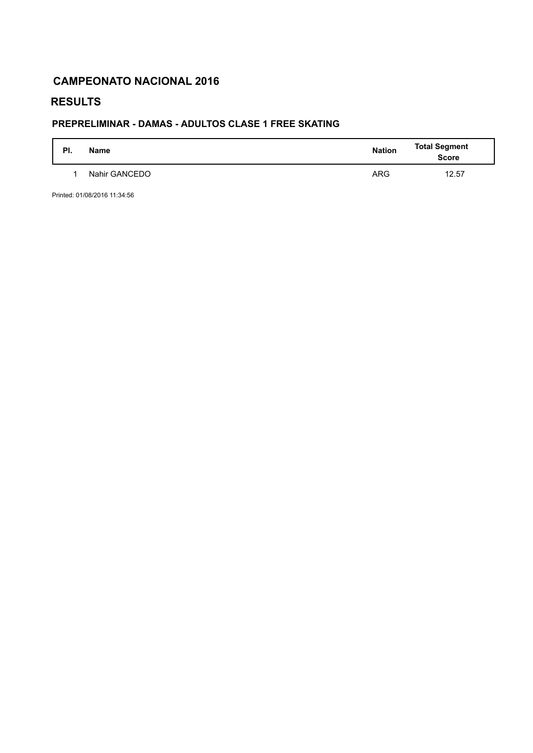### **RESULTS**

#### **PREPRELIMINAR - DAMAS - ADULTOS CLASE 1 FREE SKATING**

| PI. | <b>Name</b>   | <b>Nation</b> | <b>Total Segment</b><br><b>Score</b> |
|-----|---------------|---------------|--------------------------------------|
|     | Nahir GANCEDO | <b>ARG</b>    | 12.57                                |

Printed: 01/08/2016 11:34:56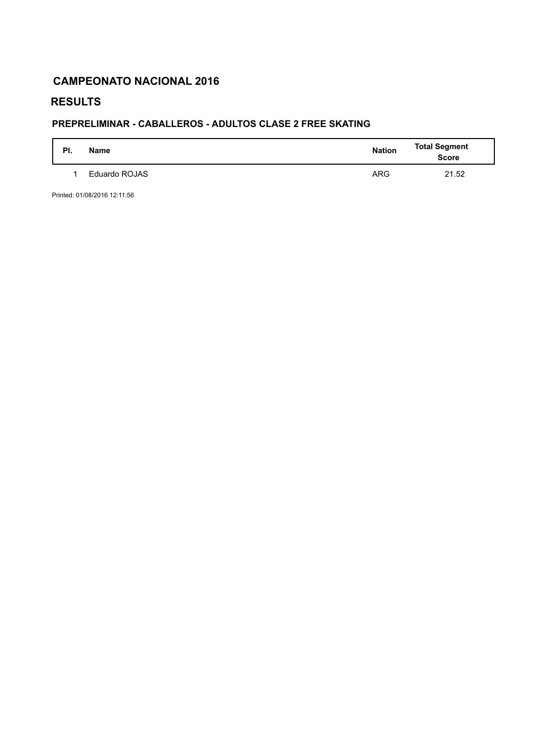### **RESULTS**

## **PREPRELIMINAR - CABALLEROS - ADULTOS CLASE 2 FREE SKATING**

| PI. | <b>Name</b>   | <b>Nation</b> | <b>Total Segment</b><br><b>Score</b> |
|-----|---------------|---------------|--------------------------------------|
|     | Eduardo ROJAS | <b>ARG</b>    | 21.52                                |

Printed: 01/08/2016 12:11:56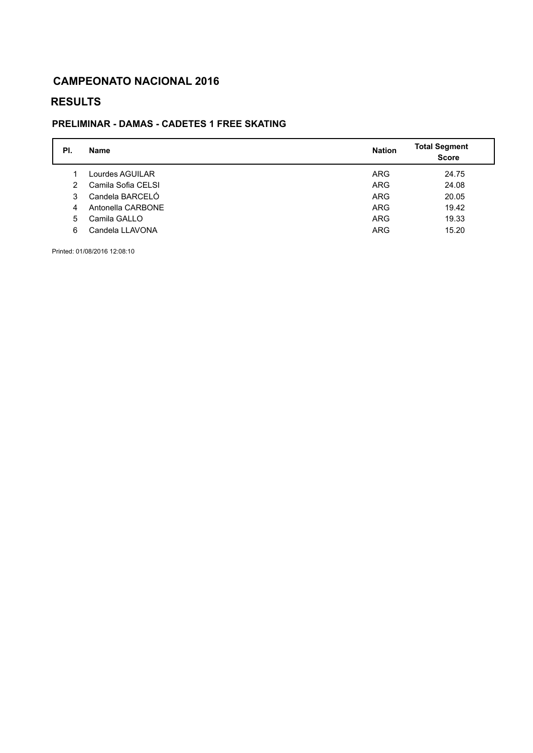## **RESULTS**

#### **PRELIMINAR - DAMAS - CADETES 1 FREE SKATING**

| PI. | <b>Name</b>        | <b>Nation</b> | <b>Total Segment</b><br><b>Score</b> |
|-----|--------------------|---------------|--------------------------------------|
| 1   | Lourdes AGUILAR    | <b>ARG</b>    | 24.75                                |
| 2   | Camila Sofia CELSI | <b>ARG</b>    | 24.08                                |
| 3   | Candela BARCELÓ    | <b>ARG</b>    | 20.05                                |
| 4   | Antonella CARBONE  | <b>ARG</b>    | 19.42                                |
| 5   | Camila GALLO       | <b>ARG</b>    | 19.33                                |
| 6   | Candela LLAVONA    | <b>ARG</b>    | 15.20                                |

Printed: 01/08/2016 12:08:10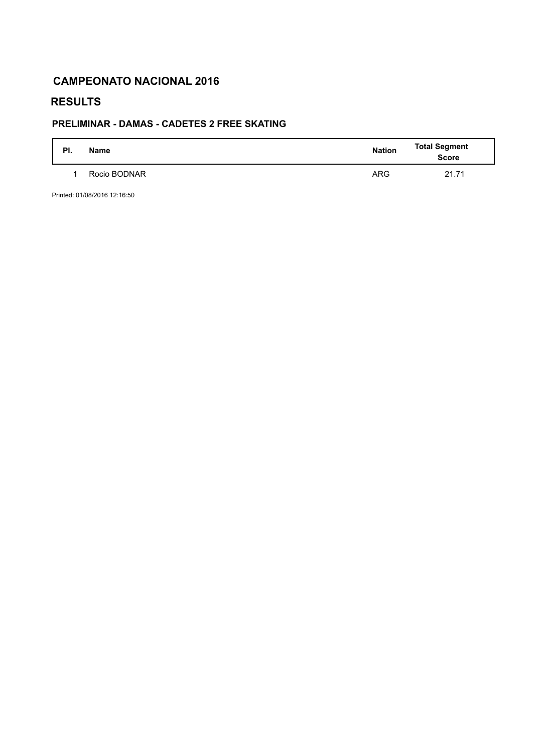#### **RESULTS**

#### **PRELIMINAR - DAMAS - CADETES 2 FREE SKATING**

| PI. | <b>Name</b>  | <b>Nation</b> | Total Segment<br>Score |
|-----|--------------|---------------|------------------------|
|     | Rocio BODNAR | <b>ARG</b>    | 21.71                  |

Printed: 01/08/2016 12:16:50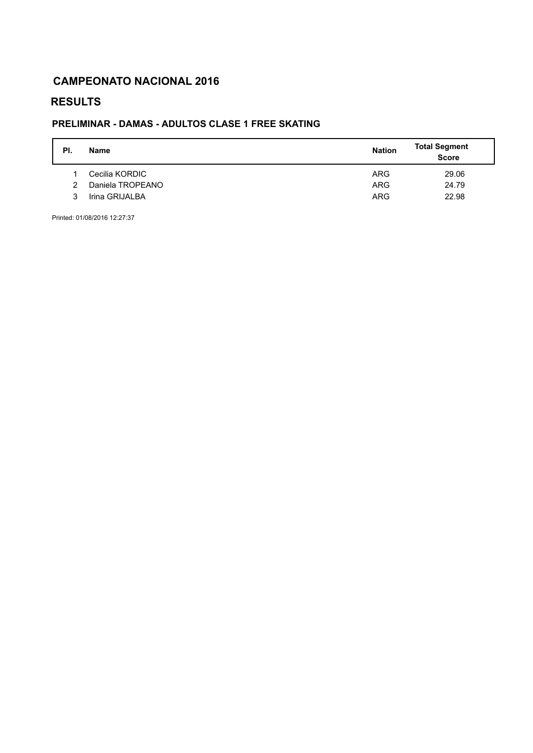### **RESULTS**

## **PRELIMINAR - DAMAS - ADULTOS CLASE 1 FREE SKATING**

| PI.           | Name             | <b>Nation</b> | <b>Total Segment</b><br><b>Score</b> |  |  |  |
|---------------|------------------|---------------|--------------------------------------|--|--|--|
|               | Cecilia KORDIC   | <b>ARG</b>    | 29.06                                |  |  |  |
| $\mathcal{P}$ | Daniela TROPEANO | <b>ARG</b>    | 24.79                                |  |  |  |
| 3             | Irina GRIJALBA   | <b>ARG</b>    | 22.98                                |  |  |  |

Printed: 01/08/2016 12:27:37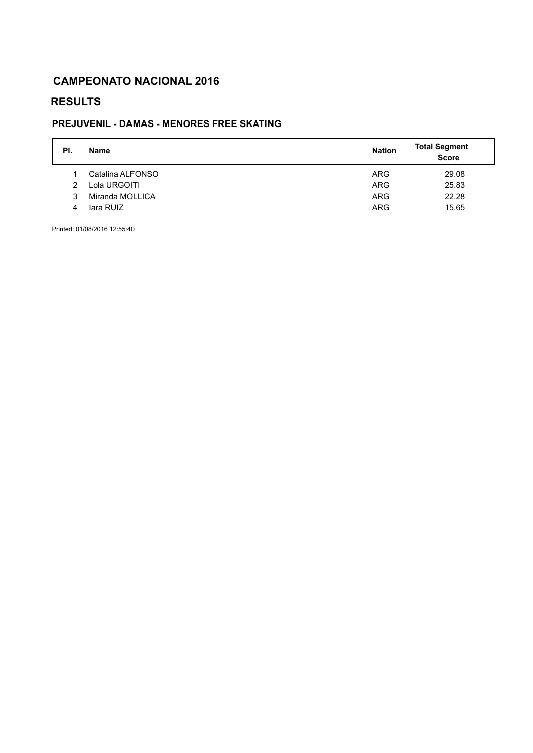### **RESULTS**

#### **PREJUVENIL - DAMAS - MENORES FREE SKATING**

| PI. | <b>Name</b>      | <b>Nation</b> | <b>Total Segment</b><br><b>Score</b> |  |  |  |
|-----|------------------|---------------|--------------------------------------|--|--|--|
|     | Catalina ALFONSO | <b>ARG</b>    | 29.08                                |  |  |  |
| 2   | Lola URGOITI     | <b>ARG</b>    | 25.83                                |  |  |  |
| 3   | Miranda MOLLICA  | <b>ARG</b>    | 22.28                                |  |  |  |
| 4   | lara RUIZ        | <b>ARG</b>    | 15.65                                |  |  |  |

Printed: 01/08/2016 12:55:40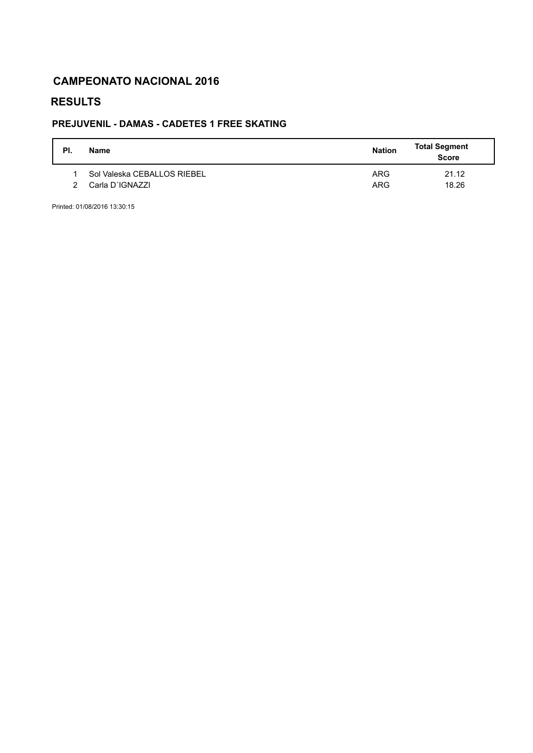#### **RESULTS**

#### **PREJUVENIL - DAMAS - CADETES 1 FREE SKATING**

| PI. | Name                        | <b>Nation</b> | <b>Total Segment</b><br><b>Score</b> |  |  |  |
|-----|-----------------------------|---------------|--------------------------------------|--|--|--|
|     | Sol Valeska CEBALLOS RIEBEL | <b>ARG</b>    | 21.12                                |  |  |  |
|     | Carla D'IGNAZZI             | <b>ARG</b>    | 18.26                                |  |  |  |

Printed: 01/08/2016 13:30:15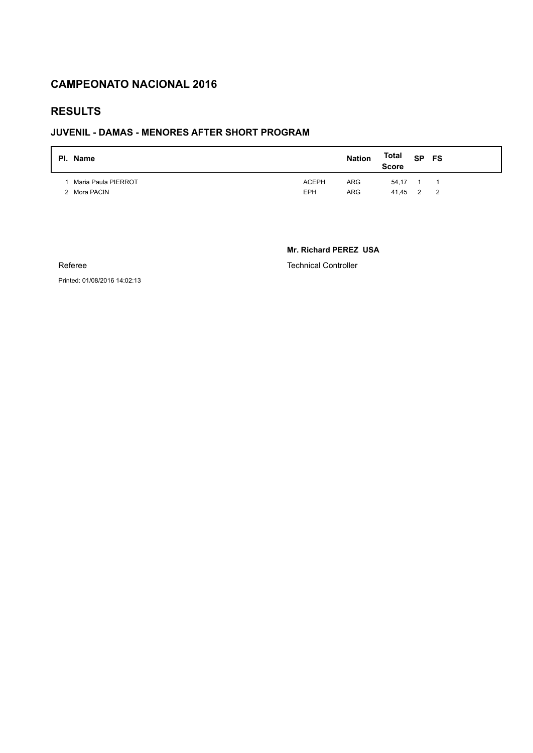#### **RESULTS**

#### **JUVENIL - DAMAS - MENORES AFTER SHORT PROGRAM**

| Pl. Name                            |                            | <b>Nation</b>            | Total<br><b>Score</b> | SP FS                      |
|-------------------------------------|----------------------------|--------------------------|-----------------------|----------------------------|
| Maria Paula PIERROT<br>2 Mora PACIN | <b>ACEPH</b><br><b>EPH</b> | <b>ARG</b><br><b>ARG</b> | 54,17 1 1<br>41.45 2  | $\overline{\phantom{0}}^2$ |

**Mr. Richard PEREZ USA**

Technical Controller

Printed: 01/08/2016 14:02:13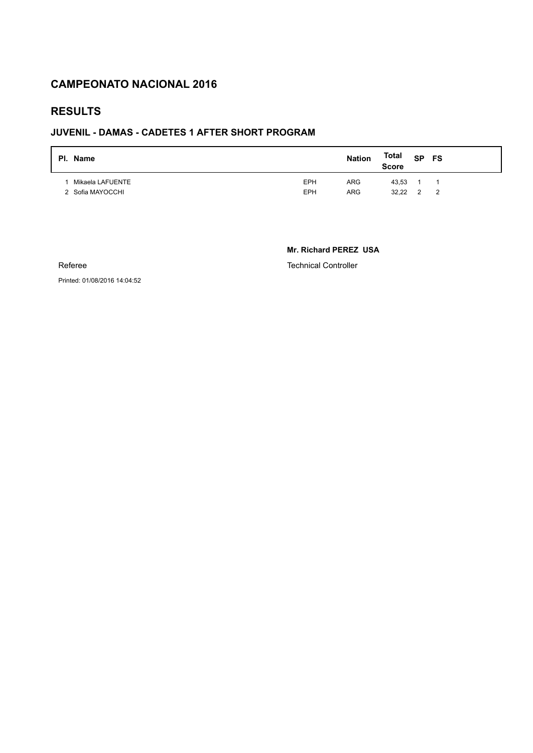#### **RESULTS**

#### **JUVENIL - DAMAS - CADETES 1 AFTER SHORT PROGRAM**

| PI. Name         |     | <b>Nation</b> | Total<br><b>Score</b> | SP FS                   |
|------------------|-----|---------------|-----------------------|-------------------------|
| Mikaela LAFUENTE | EPH | <b>ARG</b>    | 43,53 1               | $\overline{\mathbf{1}}$ |
| 2 Sofia MAYOCCHI | EPH | <b>ARG</b>    | 32,22 2               | $\overline{2}$          |

**Mr. Richard PEREZ USA**

Technical Controller

Printed: 01/08/2016 14:04:52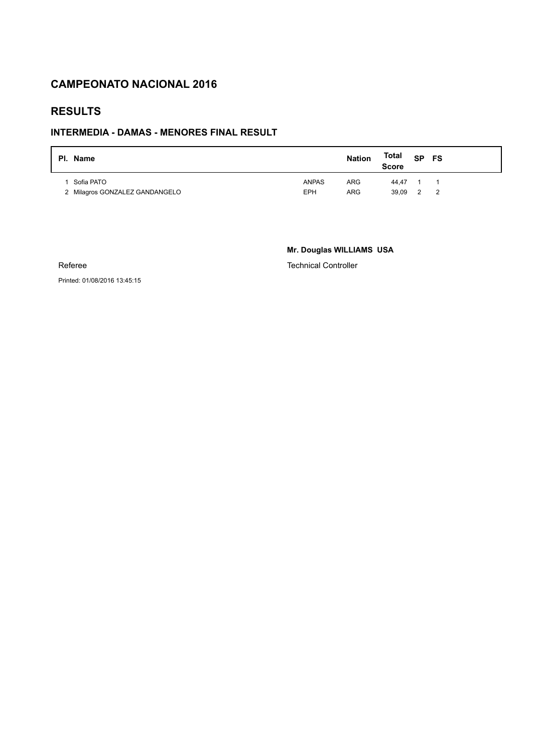# **RESULTS**

#### **INTERMEDIA - DAMAS - MENORES FINAL RESULT**

| PI. Name |                                              |                     | <b>Nation</b>            | Total<br><b>Score</b> | <b>SP</b>      | FS                         |
|----------|----------------------------------------------|---------------------|--------------------------|-----------------------|----------------|----------------------------|
|          | Sofia PATO<br>2 Milagros GONZALEZ GANDANGELO | <b>ANPAS</b><br>EPH | <b>ARG</b><br><b>ARG</b> | 44,47<br>39.09        | $\overline{2}$ | $\overline{\phantom{0}}^2$ |

#### **Mr. Douglas WILLIAMS USA**

Technical Controller

Printed: 01/08/2016 13:45:15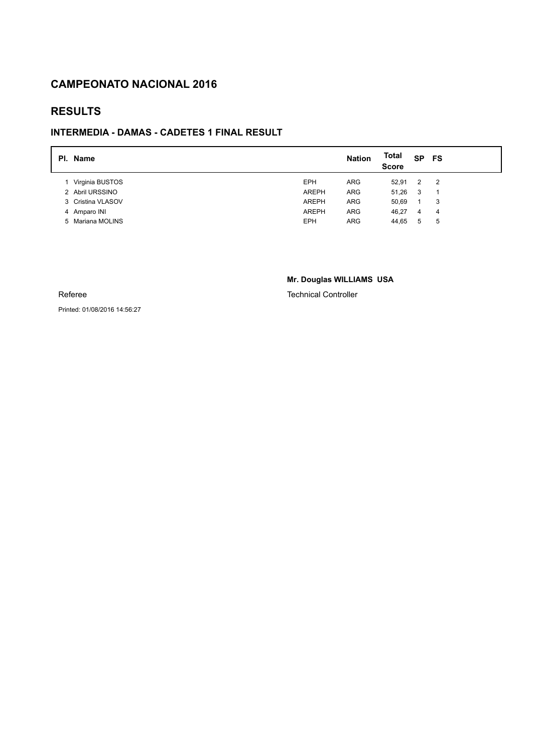### **RESULTS**

### **INTERMEDIA - DAMAS - CADETES 1 FINAL RESULT**

| Pl. Name             |              | <b>Nation</b> | <b>Total</b><br><b>Score</b> | <b>SP</b>      | FS             |
|----------------------|--------------|---------------|------------------------------|----------------|----------------|
| Virginia BUSTOS      | <b>EPH</b>   | <b>ARG</b>    | 52,91                        | $\overline{2}$ | - 2            |
| 2 Abril URSSINO      | <b>AREPH</b> | <b>ARG</b>    | 51,26                        | - 3            | $\overline{1}$ |
| 3 Cristina VLASOV    | <b>AREPH</b> | <b>ARG</b>    | 50,69                        |                | 3              |
| Amparo INI<br>4      | <b>AREPH</b> | <b>ARG</b>    | 46.27                        | 4              | 4              |
| Mariana MOLINS<br>5. | <b>EPH</b>   | <b>ARG</b>    | 44,65                        | 5              | 5              |

#### **Mr. Douglas WILLIAMS USA**

Technical Controller

Printed: 01/08/2016 14:56:27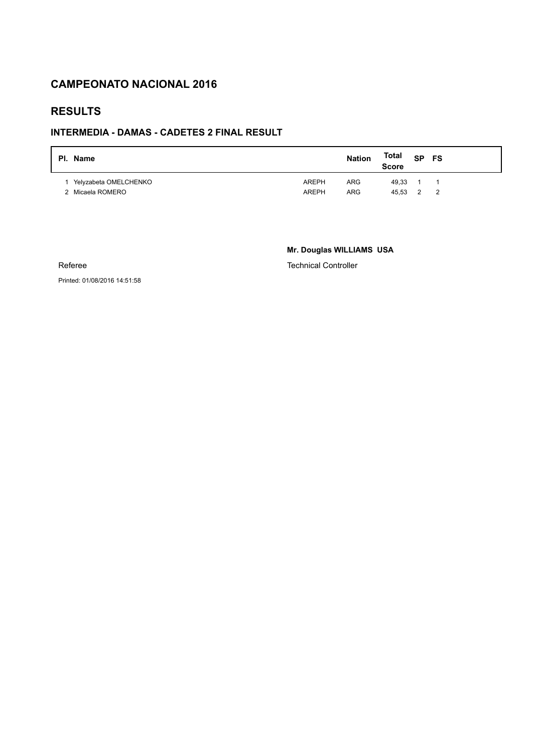# **RESULTS**

### **INTERMEDIA - DAMAS - CADETES 2 FINAL RESULT**

| PI. Name                                  |                              | <b>Nation</b> | Total<br><b>Score</b> | <b>SP</b> | FS                         |
|-------------------------------------------|------------------------------|---------------|-----------------------|-----------|----------------------------|
| Yelyzabeta OMELCHENKO<br>2 Micaela ROMERO | <b>AREPH</b><br><b>AREPH</b> | ARG<br>ARG    | 49,33 1 1<br>45.53 2  |           | $\overline{\phantom{0}}^2$ |

**Mr. Douglas WILLIAMS USA**

Technical Controller

Printed: 01/08/2016 14:51:58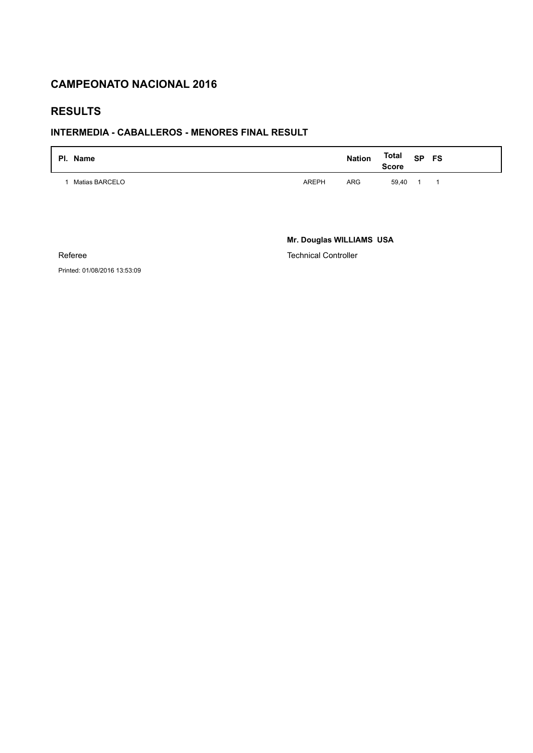# **RESULTS**

### **INTERMEDIA - CABALLEROS - MENORES FINAL RESULT**

| PI.<br>Name    |              | <b>Nation</b> | Total<br><b>Score</b> | SP | <b>FS</b> |
|----------------|--------------|---------------|-----------------------|----|-----------|
| Matias BARCELO | <b>AREPH</b> | <b>ARG</b>    | 59.40 1               |    |           |

Referee

**Mr. Douglas WILLIAMS USA**

Technical Controller

Printed: 01/08/2016 13:53:09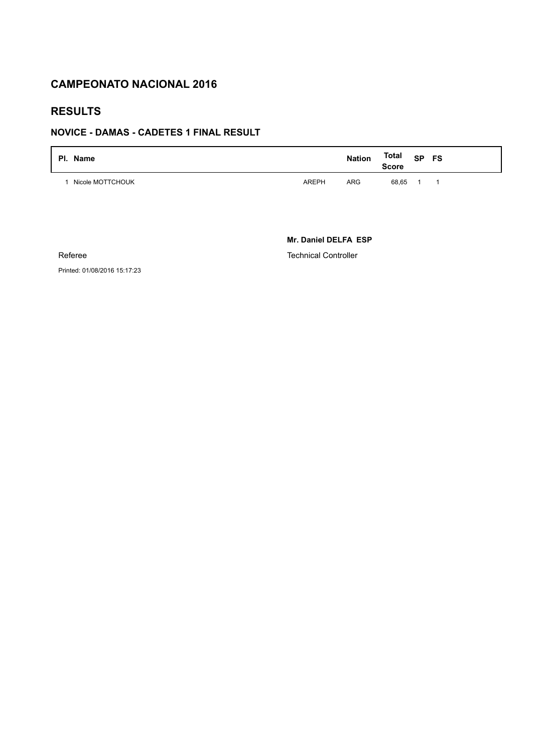## **RESULTS**

### **NOVICE - DAMAS - CADETES 1 FINAL RESULT**

| PI. Name         |              | <b>Nation</b> | Total<br>Score | <b>SP</b> | <b>FS</b> |
|------------------|--------------|---------------|----------------|-----------|-----------|
| Nicole MOTTCHOUK | <b>AREPH</b> | <b>ARG</b>    | 68,65          |           |           |

**Mr. Daniel DELFA ESP**

Technical Controller

Printed: 01/08/2016 15:17:23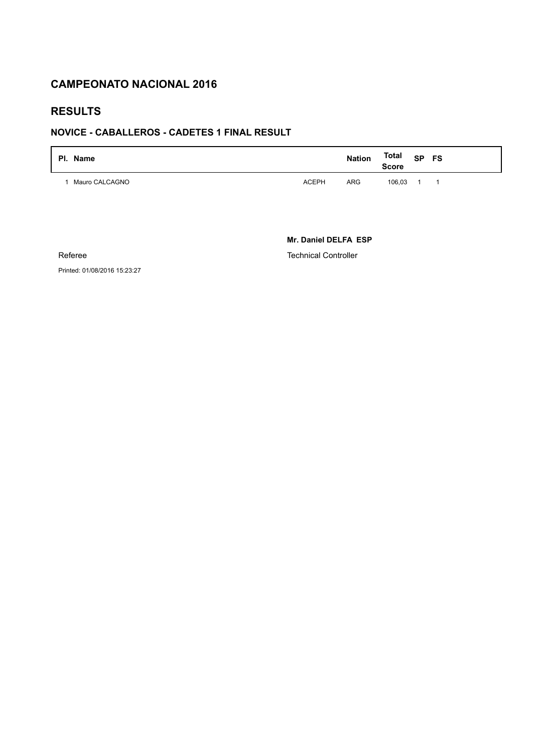## **RESULTS**

### **NOVICE - CABALLEROS - CADETES 1 FINAL RESULT**

| PI. Name       |              | <b>Nation</b> | Total<br>Score | <b>SP</b> | <b>FS</b> |
|----------------|--------------|---------------|----------------|-----------|-----------|
| Mauro CALCAGNO | <b>ACEPH</b> | <b>ARG</b>    | 106,03 1       |           |           |

Referee

**Mr. Daniel DELFA ESP**

Technical Controller

Printed: 01/08/2016 15:23:27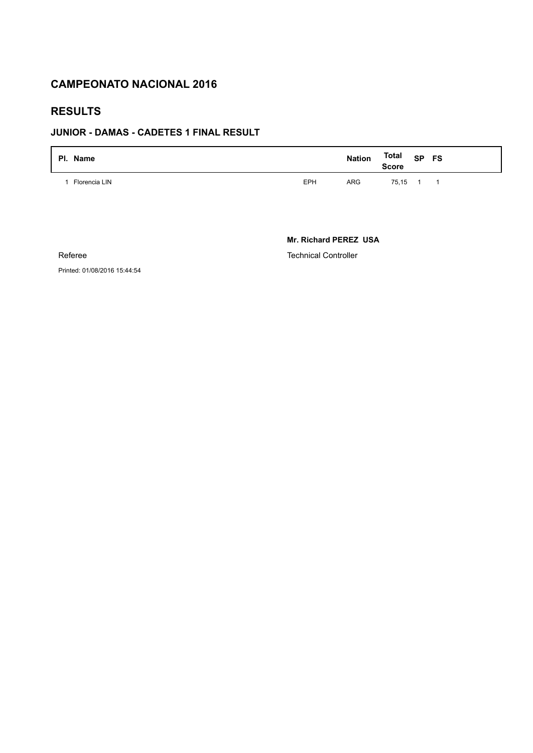#### **RESULTS**

#### **JUNIOR - DAMAS - CADETES 1 FINAL RESULT**

| PI. Name      |     | <b>Nation</b> | Total<br><b>Score</b> | <b>SP</b> | FS |
|---------------|-----|---------------|-----------------------|-----------|----|
| Florencia LIN | EPH | <b>ARG</b>    | 75.15                 |           |    |

**Mr. Richard PEREZ USA**

Technical Controller

Printed: 01/08/2016 15:44:54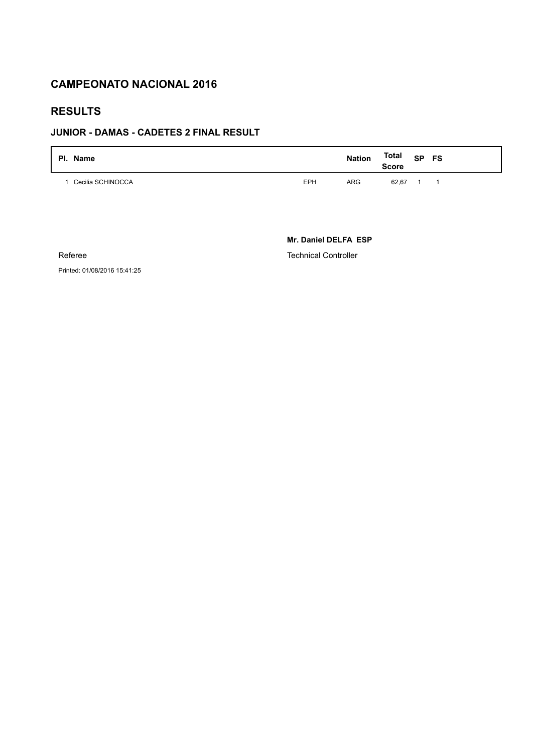## **RESULTS**

### **JUNIOR - DAMAS - CADETES 2 FINAL RESULT**

| PI. Name          |     | <b>Nation</b> | Total<br><b>Score</b> | <b>SP</b> | <b>FS</b> |
|-------------------|-----|---------------|-----------------------|-----------|-----------|
| Cecilia SCHINOCCA | EPH | <b>ARG</b>    | 62.67                 |           |           |

**Mr. Daniel DELFA ESP**

Technical Controller

Printed: 01/08/2016 15:41:25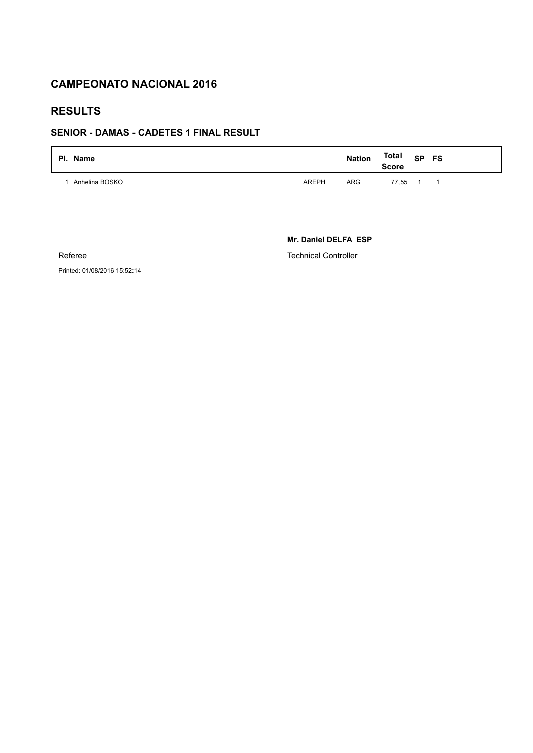#### **RESULTS**

#### **SENIOR - DAMAS - CADETES 1 FINAL RESULT**

| PI.<br>Name    |              | <b>Nation</b> | Total<br><b>Score</b> | <b>SP</b> | <b>FS</b> |
|----------------|--------------|---------------|-----------------------|-----------|-----------|
| Anhelina BOSKO | <b>AREPH</b> | <b>ARG</b>    | 77,55                 |           |           |

**Mr. Daniel DELFA ESP**

Technical Controller

Printed: 01/08/2016 15:52:14